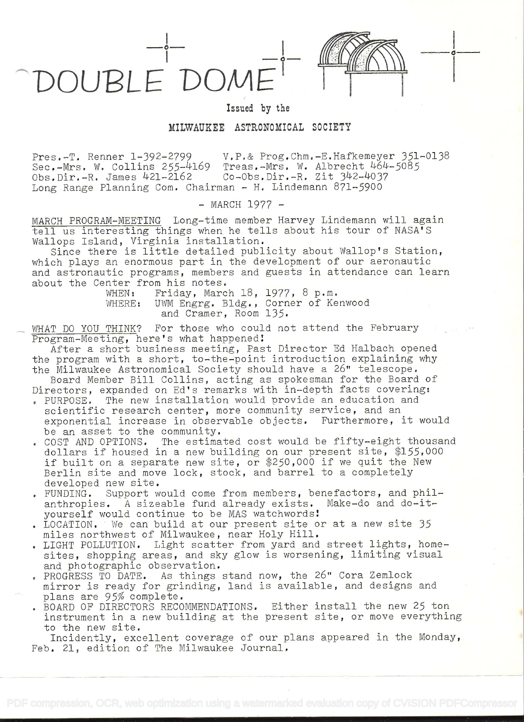DOUBLE DOM



o

## Issued by the

## MILWAUKEE ASTRONOMICAL SOCIETY

Pres.-T. Renner 1-392-2799 V.P.& Prog.Chm.-E.Hafkemeyer 351-0138<br>Sec.-Mrs. W. Collins 255-4169 Treas.-Mrs. W. Albrecht 464-5085 Treas.-Mrs. W. Albrecht 464-5085<br>Co-Obs.Dir.-R. Zit 342-4037 Obs.Dir. $-R.$  James  $421-2162$ Long Range Planning Com. Chairman - H. Lindemann 871-5900

- MARCH 1977 -

MARCH PROGRAM-MEETING Long-time member Harvey Lindemann will again tell us interesting things when he tells about his tour of NASA'S Wallops Island, Virginia installation.

Since there is little detailed publicity about Wallop's Station, which plays an enormous part in the development of our aeronautic and astronautic programs, members and guests in attendance can learn about the Center from his notes.

WHEN: Friday, March 18, 1977, 8 p.m.<br>WHERE: UWM Engrg. Bldg., Corner of Ke UWM Engrg. Bldg., Corner of Kenwood and Cramer, Room 135.

WHAT DO YOU THINK? For those who could not attend the February Program-Meeting, here's what happened!

After a short business meeting, Past Director Ed Halbach opened the program with a short, to-the-point introduction explaining why the Milwaukee Astronomical Society should have a 26" telescope.

Board Member Bill Collins, acting as spokesman for the Board of Directors, expanded on Ed's remarks with in-depth facts covering:

- . PURPOSE. The new installation would provide an education and scientific research center, more community service, and an exponential increase in observable objects. Furthermore, it would be an asset to the community.
- . COST AND OPTIONS. The estimated cost would be fifty-eight thousand dollars if housed in a new building on our present site, \$155,000 if built on a separate new site, or  $$250,000$  if we quit the New Berlin site and move lock, stock, and barrel to a completely developed new site.
- . FUNDING. Support would come from members, benefactors, and philanthropies. A sizeable fund already exists. Make-do and do-ityourself would continue to be MAS watchwords
- . LOCATION. We can build at our present site or at a new site 35 miles northwest of Milwaukee, near Holy Hill.
- . LIGHT POLLUTION. Light scatter from yard and street lights, homesites, shopping areas, and sky glow is worsening, limiting visual and photographic observation.
- . PROGRESS TO DATE. As things stand now, the 26" Cora Zemlock mirror is ready for grinding, land is available, and designs and plans are 95% complete.
- . BOARD OF DIRECTORS RECOMMENDATIONS. Either install the new 25 ton instrument in a new building at the present site, or move everything to the new site.

Incidently, excellent coverage of our plans appeared in the Monday, Feb. 21, edition of The Milwaukee Journal.